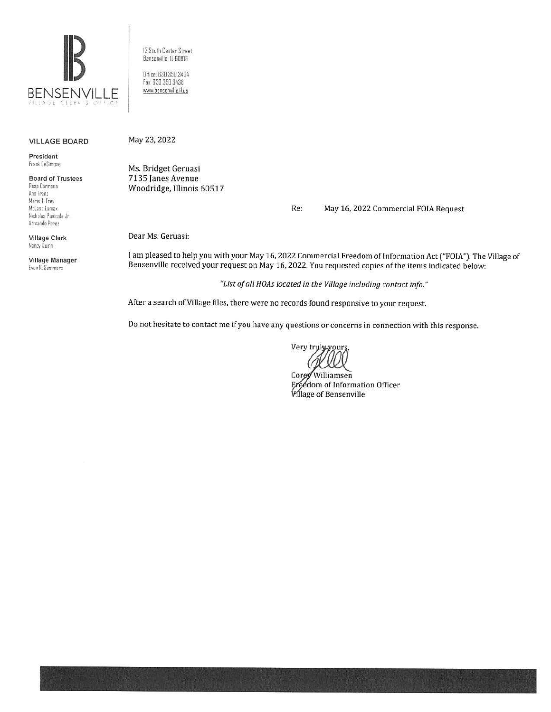

12 South Center Street Bensenville, IL 60106 Dffice: 630.350.3404 Fax: 630.350.3438 www.bensenville.il.us

## **VILLAGE BOARD**

President Frank DeSimone

**Board of Trustees** Rosa Carmona Ann Franz Marie T. Frey McLane Lomax Nicholas Panicola Jr. Armando Perez

Village Clerk Nancy Duinn

Village Manager Evan K. Summers

May 23, 2022

Ms. Bridget Geruasi 7135 Janes Avenue Woodridge, Illinois 60517

> Re: May 16, 2022 Commercial FOIA Request

Dear Ms. Geruasi:

I am pleased to help you with your May 16, 2022 Commercial Freedom of Information Act ("FOIA"). The Village of Bensenville received your request on May 16, 2022. You requested copies of the items indicated below:

"List of all HOAs located in the Village including contact info."

After a search of Village files, there were no records found responsive to your request.

Do not hesitate to contact me if you have any questions or concerns in connection with this response.

Very truly yours

Corey Williamsen Freedom of Information Officer **Village of Bensenville**